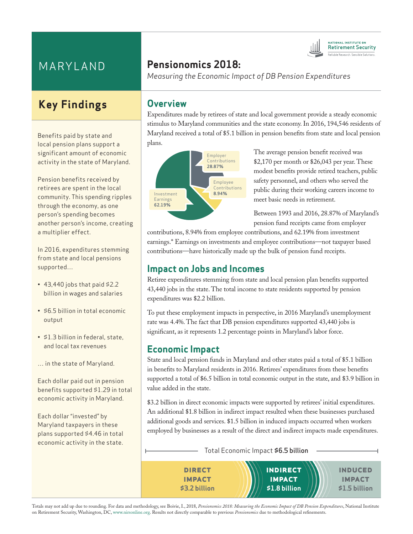# MARYLAND

# **Key Findings**

Benefits paid by state and local pension plans support a significant amount of economic activity in the state of Maryland.

Pension benefits received by retirees are spent in the local community. This spending ripples through the economy, as one person's spending becomes another person's income, creating a multiplier effect.

In 2016, expenditures stemming from state and local pensions supported…

- $\cdot$  43,440 jobs that paid \$2.2 billion in wages and salaries
- \$6.5 billion in total economic output
- \$1.3 billion in federal, state, and local tax revenues
- … in the state of Maryland.

Each dollar paid out in pension benefits supported \$1.29 in total economic activity in Maryland.

Each dollar "invested" by Maryland taxpayers in these plans supported \$4.46 in total economic activity in the state.

# **Pensionomics 2018:**

*Measuring the Economic Impact of DB Pension Expenditures*

#### **Overview**

Expenditures made by retirees of state and local government provide a steady economic stimulus to Maryland communities and the state economy. In 2016, 194,546 residents of Maryland received a total of \$5.1 billion in pension benefits from state and local pension plans.



The average pension benefit received was \$2,170 per month or \$26,043 per year. These modest benefits provide retired teachers, public safety personnel, and others who served the public during their working careers income to meet basic needs in retirement.

**ATIONAL INSTITUTE ON Retirement Security** 

Between 1993 and 2016, 28.87% of Maryland's pension fund receipts came from employer

contributions, 8.94% from employee contributions, and 62.19% from investment earnings.\* Earnings on investments and employee contributions—not taxpayer based contributions—have historically made up the bulk of pension fund receipts.

### **Impact on Jobs and Incomes**

Retiree expenditures stemming from state and local pension plan benefits supported 43,440 jobs in the state. The total income to state residents supported by pension expenditures was \$2.2 billion.

To put these employment impacts in perspective, in 2016 Maryland's unemployment rate was 4.4%. The fact that DB pension expenditures supported 43,440 jobs is significant, as it represents 1.2 percentage points in Maryland's labor force.

#### **Economic Impact**

State and local pension funds in Maryland and other states paid a total of \$5.1 billion in benefits to Maryland residents in 2016. Retirees' expenditures from these benefits supported a total of \$6.5 billion in total economic output in the state, and \$3.9 billion in value added in the state.

\$3.2 billion in direct economic impacts were supported by retirees' initial expenditures. An additional \$1.8 billion in indirect impact resulted when these businesses purchased additional goods and services. \$1.5 billion in induced impacts occurred when workers employed by businesses as a result of the direct and indirect impacts made expenditures.

Total Economic Impact \$6.5 billion



Totals may not add up due to rounding. For data and methodology, see Boivie, I., 2018, *Pensionomics 2018: Measuring the Economic Impact of DB Pension Expenditures*, National Institute on Retirement Security, Washington, DC, www.nirsonline.org. Results not directly comparable to previous *Pensionomics* due to methodological refinements.